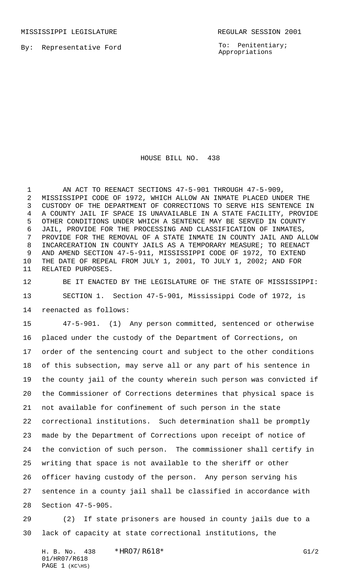MISSISSIPPI LEGISLATURE **REGULAR SESSION 2001** 

By: Representative Ford

To: Penitentiary; Appropriations

HOUSE BILL NO. 438

1 AN ACT TO REENACT SECTIONS 47-5-901 THROUGH 47-5-909, MISSISSIPPI CODE OF 1972, WHICH ALLOW AN INMATE PLACED UNDER THE CUSTODY OF THE DEPARTMENT OF CORRECTIONS TO SERVE HIS SENTENCE IN A COUNTY JAIL IF SPACE IS UNAVAILABLE IN A STATE FACILITY, PROVIDE OTHER CONDITIONS UNDER WHICH A SENTENCE MAY BE SERVED IN COUNTY JAIL, PROVIDE FOR THE PROCESSING AND CLASSIFICATION OF INMATES, PROVIDE FOR THE REMOVAL OF A STATE INMATE IN COUNTY JAIL AND ALLOW INCARCERATION IN COUNTY JAILS AS A TEMPORARY MEASURE; TO REENACT AND AMEND SECTION 47-5-911, MISSISSIPPI CODE OF 1972, TO EXTEND THE DATE OF REPEAL FROM JULY 1, 2001, TO JULY 1, 2002; AND FOR RELATED PURPOSES.

 BE IT ENACTED BY THE LEGISLATURE OF THE STATE OF MISSISSIPPI: SECTION 1. Section 47-5-901, Mississippi Code of 1972, is reenacted as follows:

 47-5-901. (1) Any person committed, sentenced or otherwise placed under the custody of the Department of Corrections, on order of the sentencing court and subject to the other conditions of this subsection, may serve all or any part of his sentence in the county jail of the county wherein such person was convicted if the Commissioner of Corrections determines that physical space is not available for confinement of such person in the state correctional institutions. Such determination shall be promptly made by the Department of Corrections upon receipt of notice of the conviction of such person. The commissioner shall certify in writing that space is not available to the sheriff or other officer having custody of the person. Any person serving his sentence in a county jail shall be classified in accordance with Section 47-5-905.

 (2) If state prisoners are housed in county jails due to a lack of capacity at state correctional institutions, the

H. B. No. 438 \*HRO7/R618\* G1/2 01/HR07/R618 PAGE (KC\HS)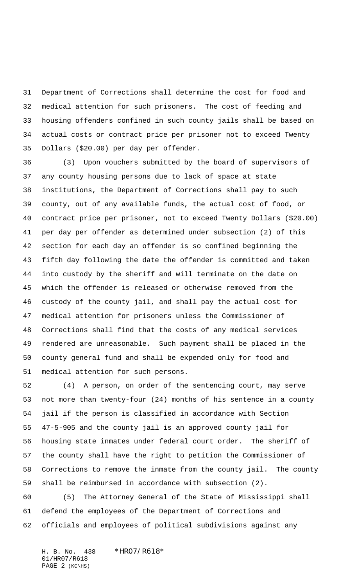Department of Corrections shall determine the cost for food and medical attention for such prisoners. The cost of feeding and housing offenders confined in such county jails shall be based on actual costs or contract price per prisoner not to exceed Twenty Dollars (\$20.00) per day per offender.

 (3) Upon vouchers submitted by the board of supervisors of any county housing persons due to lack of space at state institutions, the Department of Corrections shall pay to such county, out of any available funds, the actual cost of food, or contract price per prisoner, not to exceed Twenty Dollars (\$20.00) per day per offender as determined under subsection (2) of this section for each day an offender is so confined beginning the fifth day following the date the offender is committed and taken into custody by the sheriff and will terminate on the date on which the offender is released or otherwise removed from the custody of the county jail, and shall pay the actual cost for medical attention for prisoners unless the Commissioner of Corrections shall find that the costs of any medical services rendered are unreasonable. Such payment shall be placed in the county general fund and shall be expended only for food and medical attention for such persons.

 (4) A person, on order of the sentencing court, may serve not more than twenty-four (24) months of his sentence in a county jail if the person is classified in accordance with Section 47-5-905 and the county jail is an approved county jail for housing state inmates under federal court order. The sheriff of the county shall have the right to petition the Commissioner of Corrections to remove the inmate from the county jail. The county shall be reimbursed in accordance with subsection (2).

 (5) The Attorney General of the State of Mississippi shall defend the employees of the Department of Corrections and officials and employees of political subdivisions against any

H. B. No. 438 \*HR07/R618\* 01/HR07/R618 PAGE (KC\HS)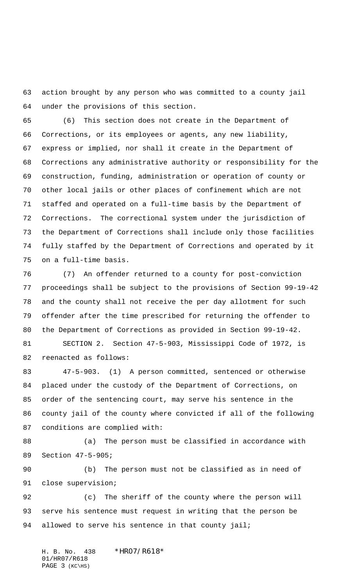action brought by any person who was committed to a county jail under the provisions of this section.

 (6) This section does not create in the Department of Corrections, or its employees or agents, any new liability, express or implied, nor shall it create in the Department of Corrections any administrative authority or responsibility for the construction, funding, administration or operation of county or other local jails or other places of confinement which are not staffed and operated on a full-time basis by the Department of Corrections. The correctional system under the jurisdiction of the Department of Corrections shall include only those facilities fully staffed by the Department of Corrections and operated by it on a full-time basis.

 (7) An offender returned to a county for post-conviction proceedings shall be subject to the provisions of Section 99-19-42 and the county shall not receive the per day allotment for such offender after the time prescribed for returning the offender to the Department of Corrections as provided in Section 99-19-42. SECTION 2. Section 47-5-903, Mississippi Code of 1972, is reenacted as follows:

 47-5-903. (1) A person committed, sentenced or otherwise placed under the custody of the Department of Corrections, on order of the sentencing court, may serve his sentence in the county jail of the county where convicted if all of the following conditions are complied with:

88 (a) The person must be classified in accordance with Section 47-5-905;

 (b) The person must not be classified as in need of close supervision;

 (c) The sheriff of the county where the person will serve his sentence must request in writing that the person be 94 allowed to serve his sentence in that county jail;

H. B. No. 438 \*HR07/R618\* 01/HR07/R618 PAGE (KC\HS)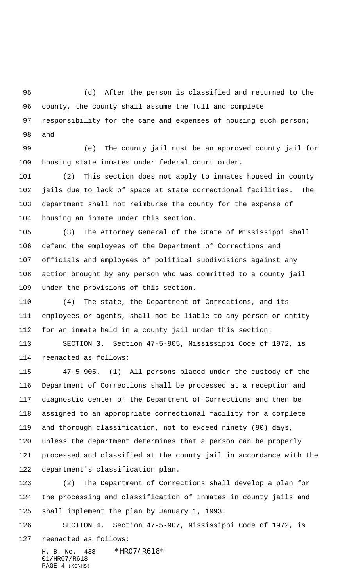(d) After the person is classified and returned to the county, the county shall assume the full and complete 97 responsibility for the care and expenses of housing such person; and

 (e) The county jail must be an approved county jail for housing state inmates under federal court order.

 (2) This section does not apply to inmates housed in county jails due to lack of space at state correctional facilities. The department shall not reimburse the county for the expense of housing an inmate under this section.

 (3) The Attorney General of the State of Mississippi shall defend the employees of the Department of Corrections and officials and employees of political subdivisions against any action brought by any person who was committed to a county jail under the provisions of this section.

 (4) The state, the Department of Corrections, and its employees or agents, shall not be liable to any person or entity for an inmate held in a county jail under this section.

 SECTION 3. Section 47-5-905, Mississippi Code of 1972, is reenacted as follows:

 47-5-905. (1) All persons placed under the custody of the Department of Corrections shall be processed at a reception and diagnostic center of the Department of Corrections and then be assigned to an appropriate correctional facility for a complete and thorough classification, not to exceed ninety (90) days, unless the department determines that a person can be properly processed and classified at the county jail in accordance with the department's classification plan.

 (2) The Department of Corrections shall develop a plan for the processing and classification of inmates in county jails and shall implement the plan by January 1, 1993.

 SECTION 4. Section 47-5-907, Mississippi Code of 1972, is reenacted as follows:

H. B. No. 438 \*HR07/R618\* 01/HR07/R618 PAGE (KC\HS)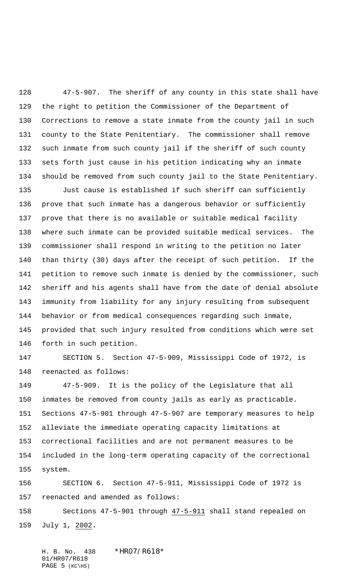47-5-907. The sheriff of any county in this state shall have the right to petition the Commissioner of the Department of Corrections to remove a state inmate from the county jail in such county to the State Penitentiary. The commissioner shall remove such inmate from such county jail if the sheriff of such county sets forth just cause in his petition indicating why an inmate should be removed from such county jail to the State Penitentiary.

 Just cause is established if such sheriff can sufficiently prove that such inmate has a dangerous behavior or sufficiently prove that there is no available or suitable medical facility where such inmate can be provided suitable medical services. The commissioner shall respond in writing to the petition no later than thirty (30) days after the receipt of such petition. If the petition to remove such inmate is denied by the commissioner, such sheriff and his agents shall have from the date of denial absolute immunity from liability for any injury resulting from subsequent behavior or from medical consequences regarding such inmate, provided that such injury resulted from conditions which were set forth in such petition.

 SECTION 5. Section 47-5-909, Mississippi Code of 1972, is reenacted as follows:

 47-5-909. It is the policy of the Legislature that all inmates be removed from county jails as early as practicable. Sections 47-5-901 through 47-5-907 are temporary measures to help alleviate the immediate operating capacity limitations at correctional facilities and are not permanent measures to be included in the long-term operating capacity of the correctional system.

 SECTION 6. Section 47-5-911, Mississippi Code of 1972 is reenacted and amended as follows:

 Sections 47-5-901 through 47-5-911 shall stand repealed on July 1, 2002.

H. B. No. 438 \*HR07/R618\* 01/HR07/R618 PAGE (KC\HS)